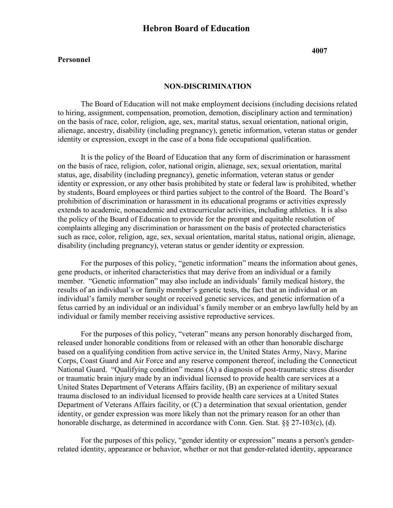#### **Personnel**

**4007**

### **NON-DISCRIMINATION**

The Board of Education will not make employment decisions (including decisions related to hiring, assignment, compensation, promotion, demotion, disciplinary action and termination) on the basis of race, color, religion, age, sex, marital status, sexual orientation, national origin, alienage, ancestry, disability (including pregnancy), genetic information, veteran status or gender identity or expression, except in the case of a bona fide occupational qualification.

It is the policy of the Board of Education that any form of discrimination or harassment on the basis of race, religion, color, national origin, alienage, sex, sexual orientation, marital status, age, disability (including pregnancy), genetic information, veteran status or gender identity or expression, or any other basis prohibited by state or federal law is prohibited, whether by students, Board employees or third parties subject to the control of the Board. The Board's prohibition of discrimination or harassment in its educational programs or activities expressly extends to academic, nonacademic and extracurricular activities, including athletics. It is also the policy of the Board of Education to provide for the prompt and equitable resolution of complaints alleging any discrimination or harassment on the basis of protected characteristics such as race, color, religion, age, sex, sexual orientation, marital status, national origin, alienage, disability (including pregnancy), veteran status or gender identity or expression.

For the purposes of this policy, "genetic information" means the information about genes, gene products, or inherited characteristics that may derive from an individual or a family member. "Genetic information" may also include an individuals' family medical history, the results of an individual's or family member's genetic tests, the fact that an individual or an individual's family member sought or received genetic services, and genetic information of a fetus carried by an individual or an individual's family member or an embryo lawfully held by an individual or family member receiving assistive reproductive services.

For the purposes of this policy, "veteran" means any person honorably discharged from, released under honorable conditions from or released with an other than honorable discharge based on a qualifying condition from active service in, the United States Army, Navy, Marine Corps, Coast Guard and Air Force and any reserve component thereof, including the Connecticut National Guard. "Qualifying condition" means (A) a diagnosis of post-traumatic stress disorder or traumatic brain injury made by an individual licensed to provide health care services at a United States Department of Veterans Affairs facility, (B) an experience of military sexual trauma disclosed to an individual licensed to provide health care services at a United States Department of Veterans Affairs facility, or (C) a determination that sexual orientation, gender identity, or gender expression was more likely than not the primary reason for an other than honorable discharge, as determined in accordance with Conn. Gen. Stat. §§ 27-103(c), (d).

For the purposes of this policy, "gender identity or expression" means a person's genderrelated identity, appearance or behavior, whether or not that gender-related identity, appearance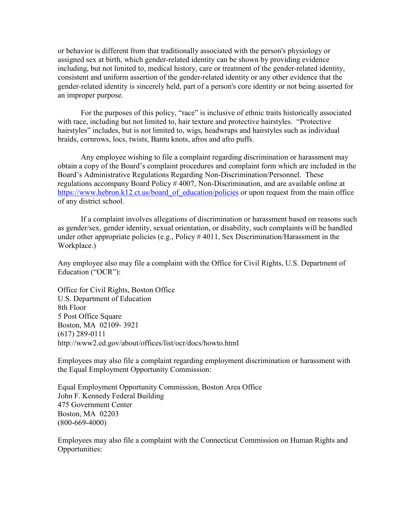or behavior is different from that traditionally associated with the person's physiology or assigned sex at birth, which gender-related identity can be shown by providing evidence including, but not limited to, medical history, care or treatment of the gender-related identity, consistent and uniform assertion of the gender-related identity or any other evidence that the gender-related identity is sincerely held, part of a person's core identity or not being asserted for an improper purpose.

For the purposes of this policy, "race" is inclusive of ethnic traits historically associated with race, including but not limited to, hair texture and protective hairstyles. "Protective hairstyles" includes, but is not limited to, wigs, headwraps and hairstyles such as individual braids, cornrows, locs, twists, Bantu knots, afros and afro puffs.

Any employee wishing to file a complaint regarding discrimination or harassment may obtain a copy of the Board's complaint procedures and complaint form which are included in the Board's Administrative Regulations Regarding Non-Discrimination/Personnel. These regulations accompany Board Policy # 4007, Non-Discrimination, and are available online at https://www.hebron.k12.ct.us/board of education/policies or upon request from the main office of any district school.

If a complaint involves allegations of discrimination or harassment based on reasons such as gender/sex, gender identity, sexual orientation, or disability, such complaints will be handled under other appropriate policies (e.g., Policy # 4011, Sex Discrimination/Harassment in the Workplace.)

Any employee also may file a complaint with the Office for Civil Rights, U.S. Department of Education ("OCR"):

Office for Civil Rights, Boston Office U.S. Department of Education 8th Floor 5 Post Office Square Boston, MA 02109- 3921 (617) 289-0111 http://www2.ed.gov/about/offices/list/ocr/docs/howto.html

Employees may also file a complaint regarding employment discrimination or harassment with the Equal Employment Opportunity Commission:

Equal Employment Opportunity Commission, Boston Area Office John F. Kennedy Federal Building 475 Government Center Boston, MA 02203 (800-669-4000)

Employees may also file a complaint with the Connecticut Commission on Human Rights and Opportunities: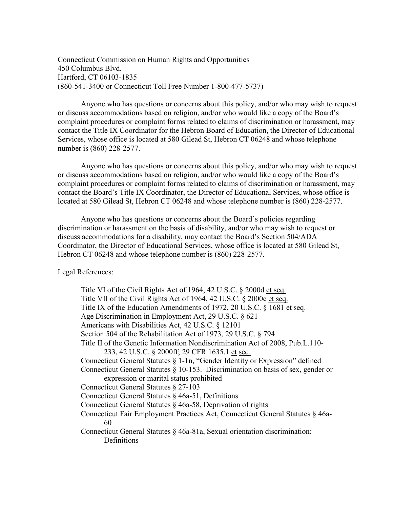Connecticut Commission on Human Rights and Opportunities 450 Columbus Blvd. Hartford, CT 06103-1835 (860-541-3400 or Connecticut Toll Free Number 1-800-477-5737)

Anyone who has questions or concerns about this policy, and/or who may wish to request or discuss accommodations based on religion, and/or who would like a copy of the Board's complaint procedures or complaint forms related to claims of discrimination or harassment, may contact the Title IX Coordinator for the Hebron Board of Education, the Director of Educational Services, whose office is located at 580 Gilead St, Hebron CT 06248 and whose telephone number is (860) 228-2577.

Anyone who has questions or concerns about this policy, and/or who may wish to request or discuss accommodations based on religion, and/or who would like a copy of the Board's complaint procedures or complaint forms related to claims of discrimination or harassment, may contact the Board's Title IX Coordinator, the Director of Educational Services, whose office is located at 580 Gilead St, Hebron CT 06248 and whose telephone number is (860) 228-2577.

Anyone who has questions or concerns about the Board's policies regarding discrimination or harassment on the basis of disability, and/or who may wish to request or discuss accommodations for a disability, may contact the Board's Section 504/ADA Coordinator, the Director of Educational Services, whose office is located at 580 Gilead St, Hebron CT 06248 and whose telephone number is (860) 228-2577.

Legal References:

Title VI of the Civil Rights Act of 1964, 42 U.S.C. § 2000d et seq. Title VII of the Civil Rights Act of 1964, 42 U.S.C. § 2000e et seq. Title IX of the Education Amendments of 1972, 20 U.S.C. § 1681 et seq. Age Discrimination in Employment Act, 29 U.S.C. § 621 Americans with Disabilities Act, 42 U.S.C. § 12101 Section 504 of the Rehabilitation Act of 1973, 29 U.S.C. § 794 Title II of the Genetic Information Nondiscrimination Act of 2008, Pub.L.110- 233, 42 U.S.C. § 2000ff; 29 CFR 1635.1 et seq. Connecticut General Statutes § 1-1n, "Gender Identity or Expression" defined Connecticut General Statutes § 10-153. Discrimination on basis of sex, gender or expression or marital status prohibited Connecticut General Statutes § 27-103 Connecticut General Statutes § 46a-51, Definitions Connecticut General Statutes § 46a-58, Deprivation of rights Connecticut Fair Employment Practices Act, Connecticut General Statutes § 46a-60 Connecticut General Statutes § 46a-81a, Sexual orientation discrimination: Definitions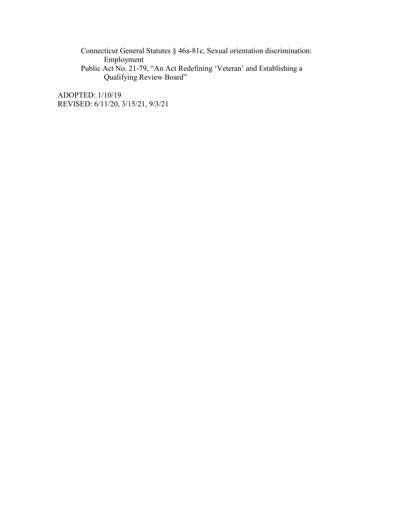Connecticut General Statutes § 46a-81c, Sexual orientation discrimination: Employment

Public Act No. 21-79, "An Act Redefining 'Veteran' and Establishing a Qualifying Review Board"

ADOPTED: 1/10/19 REVISED: 6/11/20, 3/15/21, 9/3/21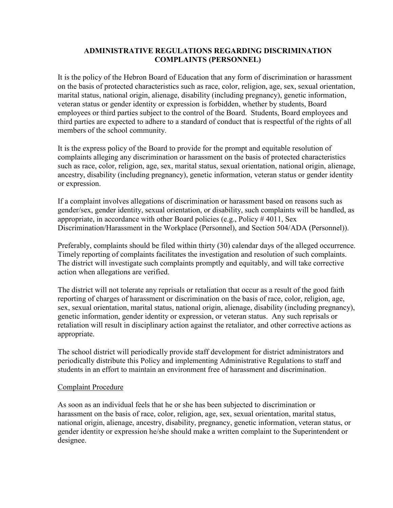## **ADMINISTRATIVE REGULATIONS REGARDING DISCRIMINATION COMPLAINTS (PERSONNEL)**

It is the policy of the Hebron Board of Education that any form of discrimination or harassment on the basis of protected characteristics such as race, color, religion, age, sex, sexual orientation, marital status, national origin, alienage, disability (including pregnancy), genetic information, veteran status or gender identity or expression is forbidden, whether by students, Board employees or third parties subject to the control of the Board. Students, Board employees and third parties are expected to adhere to a standard of conduct that is respectful of the rights of all members of the school community.

It is the express policy of the Board to provide for the prompt and equitable resolution of complaints alleging any discrimination or harassment on the basis of protected characteristics such as race, color, religion, age, sex, marital status, sexual orientation, national origin, alienage, ancestry, disability (including pregnancy), genetic information, veteran status or gender identity or expression.

If a complaint involves allegations of discrimination or harassment based on reasons such as gender/sex, gender identity, sexual orientation, or disability, such complaints will be handled, as appropriate, in accordance with other Board policies (e.g., Policy # 4011, Sex Discrimination/Harassment in the Workplace (Personnel), and Section 504/ADA (Personnel)).

Preferably, complaints should be filed within thirty (30) calendar days of the alleged occurrence. Timely reporting of complaints facilitates the investigation and resolution of such complaints. The district will investigate such complaints promptly and equitably, and will take corrective action when allegations are verified.

The district will not tolerate any reprisals or retaliation that occur as a result of the good faith reporting of charges of harassment or discrimination on the basis of race, color, religion, age, sex, sexual orientation, marital status, national origin, alienage, disability (including pregnancy), genetic information, gender identity or expression, or veteran status. Any such reprisals or retaliation will result in disciplinary action against the retaliator, and other corrective actions as appropriate.

The school district will periodically provide staff development for district administrators and periodically distribute this Policy and implementing Administrative Regulations to staff and students in an effort to maintain an environment free of harassment and discrimination.

### Complaint Procedure

As soon as an individual feels that he or she has been subjected to discrimination or harassment on the basis of race, color, religion, age, sex, sexual orientation, marital status, national origin, alienage, ancestry, disability, pregnancy, genetic information, veteran status, or gender identity or expression he/she should make a written complaint to the Superintendent or designee.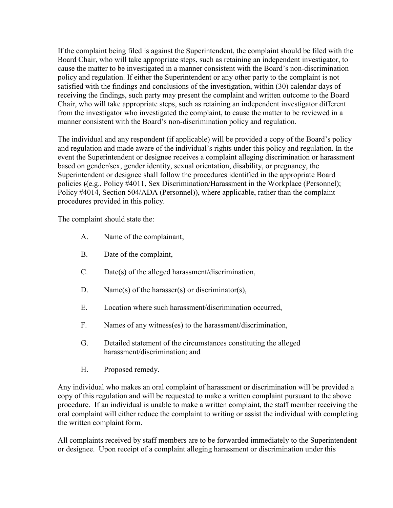If the complaint being filed is against the Superintendent, the complaint should be filed with the Board Chair, who will take appropriate steps, such as retaining an independent investigator, to cause the matter to be investigated in a manner consistent with the Board's non-discrimination policy and regulation. If either the Superintendent or any other party to the complaint is not satisfied with the findings and conclusions of the investigation, within (30) calendar days of receiving the findings, such party may present the complaint and written outcome to the Board Chair, who will take appropriate steps, such as retaining an independent investigator different from the investigator who investigated the complaint, to cause the matter to be reviewed in a manner consistent with the Board's non-discrimination policy and regulation.

The individual and any respondent (if applicable) will be provided a copy of the Board's policy and regulation and made aware of the individual's rights under this policy and regulation. In the event the Superintendent or designee receives a complaint alleging discrimination or harassment based on gender/sex, gender identity, sexual orientation, disability, or pregnancy, the Superintendent or designee shall follow the procedures identified in the appropriate Board policies ((e.g., Policy #4011, Sex Discrimination/Harassment in the Workplace (Personnel); Policy #4014, Section 504/ADA (Personnel)), where applicable, rather than the complaint procedures provided in this policy.

The complaint should state the:

- A. Name of the complainant,
- B. Date of the complaint,
- C. Date(s) of the alleged harassment/discrimination,
- D. Name(s) of the harasser(s) or discriminator(s),
- E. Location where such harassment/discrimination occurred,
- F. Names of any witness(es) to the harassment/discrimination,
- G. Detailed statement of the circumstances constituting the alleged harassment/discrimination; and
- H. Proposed remedy.

Any individual who makes an oral complaint of harassment or discrimination will be provided a copy of this regulation and will be requested to make a written complaint pursuant to the above procedure. If an individual is unable to make a written complaint, the staff member receiving the oral complaint will either reduce the complaint to writing or assist the individual with completing the written complaint form.

All complaints received by staff members are to be forwarded immediately to the Superintendent or designee. Upon receipt of a complaint alleging harassment or discrimination under this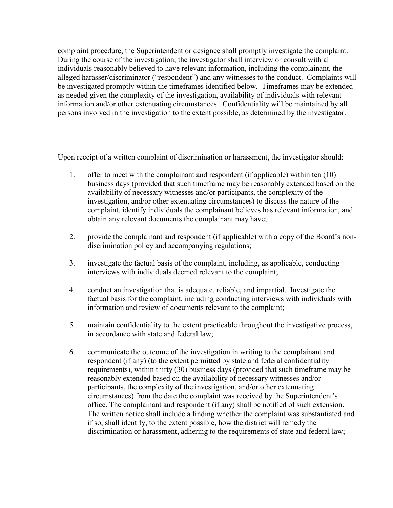complaint procedure, the Superintendent or designee shall promptly investigate the complaint. During the course of the investigation, the investigator shall interview or consult with all individuals reasonably believed to have relevant information, including the complainant, the alleged harasser/discriminator ("respondent") and any witnesses to the conduct. Complaints will be investigated promptly within the timeframes identified below. Timeframes may be extended as needed given the complexity of the investigation, availability of individuals with relevant information and/or other extenuating circumstances. Confidentiality will be maintained by all persons involved in the investigation to the extent possible, as determined by the investigator.

Upon receipt of a written complaint of discrimination or harassment, the investigator should:

- 1. offer to meet with the complainant and respondent (if applicable) within ten (10) business days (provided that such timeframe may be reasonably extended based on the availability of necessary witnesses and/or participants, the complexity of the investigation, and/or other extenuating circumstances) to discuss the nature of the complaint, identify individuals the complainant believes has relevant information, and obtain any relevant documents the complainant may have;
- 2. provide the complainant and respondent (if applicable) with a copy of the Board's nondiscrimination policy and accompanying regulations;
- 3. investigate the factual basis of the complaint, including, as applicable, conducting interviews with individuals deemed relevant to the complaint;
- 4. conduct an investigation that is adequate, reliable, and impartial. Investigate the factual basis for the complaint, including conducting interviews with individuals with information and review of documents relevant to the complaint;
- 5. maintain confidentiality to the extent practicable throughout the investigative process, in accordance with state and federal law;
- 6. communicate the outcome of the investigation in writing to the complainant and respondent (if any) (to the extent permitted by state and federal confidentiality requirements), within thirty (30) business days (provided that such timeframe may be reasonably extended based on the availability of necessary witnesses and/or participants, the complexity of the investigation, and/or other extenuating circumstances) from the date the complaint was received by the Superintendent's office. The complainant and respondent (if any) shall be notified of such extension. The written notice shall include a finding whether the complaint was substantiated and if so, shall identify, to the extent possible, how the district will remedy the discrimination or harassment, adhering to the requirements of state and federal law;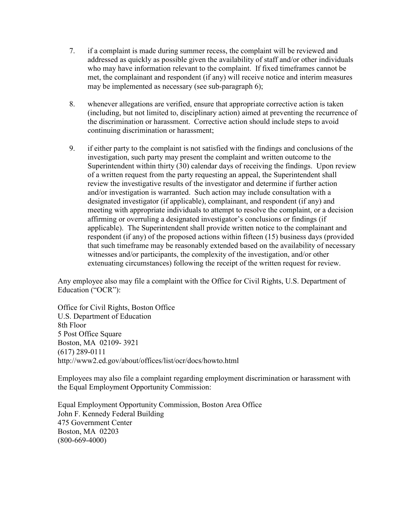- 7. if a complaint is made during summer recess, the complaint will be reviewed and addressed as quickly as possible given the availability of staff and/or other individuals who may have information relevant to the complaint. If fixed timeframes cannot be met, the complainant and respondent (if any) will receive notice and interim measures may be implemented as necessary (see sub-paragraph 6);
- 8. whenever allegations are verified, ensure that appropriate corrective action is taken (including, but not limited to, disciplinary action) aimed at preventing the recurrence of the discrimination or harassment. Corrective action should include steps to avoid continuing discrimination or harassment;
- 9. if either party to the complaint is not satisfied with the findings and conclusions of the investigation, such party may present the complaint and written outcome to the Superintendent within thirty (30) calendar days of receiving the findings. Upon review of a written request from the party requesting an appeal, the Superintendent shall review the investigative results of the investigator and determine if further action and/or investigation is warranted. Such action may include consultation with a designated investigator (if applicable), complainant, and respondent (if any) and meeting with appropriate individuals to attempt to resolve the complaint, or a decision affirming or overruling a designated investigator's conclusions or findings (if applicable). The Superintendent shall provide written notice to the complainant and respondent (if any) of the proposed actions within fifteen (15) business days (provided that such timeframe may be reasonably extended based on the availability of necessary witnesses and/or participants, the complexity of the investigation, and/or other extenuating circumstances) following the receipt of the written request for review.

Any employee also may file a complaint with the Office for Civil Rights, U.S. Department of Education ("OCR"):

Office for Civil Rights, Boston Office U.S. Department of Education 8th Floor 5 Post Office Square Boston, MA 02109- 3921 (617) 289-0111 http://www2.ed.gov/about/offices/list/ocr/docs/howto.html

Employees may also file a complaint regarding employment discrimination or harassment with the Equal Employment Opportunity Commission:

Equal Employment Opportunity Commission, Boston Area Office John F. Kennedy Federal Building 475 Government Center Boston, MA 02203 (800-669-4000)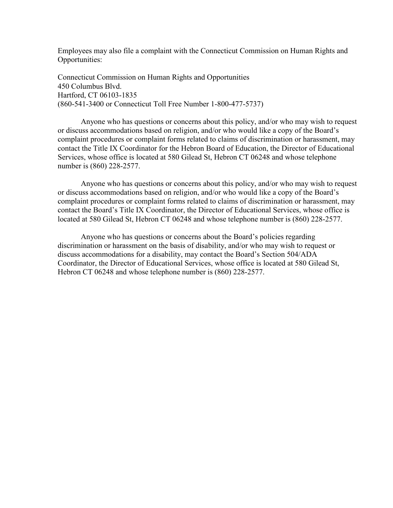Employees may also file a complaint with the Connecticut Commission on Human Rights and Opportunities:

Connecticut Commission on Human Rights and Opportunities 450 Columbus Blvd. Hartford, CT 06103-1835 (860-541-3400 or Connecticut Toll Free Number 1-800-477-5737)

Anyone who has questions or concerns about this policy, and/or who may wish to request or discuss accommodations based on religion, and/or who would like a copy of the Board's complaint procedures or complaint forms related to claims of discrimination or harassment, may contact the Title IX Coordinator for the Hebron Board of Education, the Director of Educational Services, whose office is located at 580 Gilead St, Hebron CT 06248 and whose telephone number is (860) 228-2577.

Anyone who has questions or concerns about this policy, and/or who may wish to request or discuss accommodations based on religion, and/or who would like a copy of the Board's complaint procedures or complaint forms related to claims of discrimination or harassment, may contact the Board's Title IX Coordinator, the Director of Educational Services, whose office is located at 580 Gilead St, Hebron CT 06248 and whose telephone number is (860) 228-2577.

Anyone who has questions or concerns about the Board's policies regarding discrimination or harassment on the basis of disability, and/or who may wish to request or discuss accommodations for a disability, may contact the Board's Section 504/ADA Coordinator, the Director of Educational Services, whose office is located at 580 Gilead St, Hebron CT 06248 and whose telephone number is (860) 228-2577.